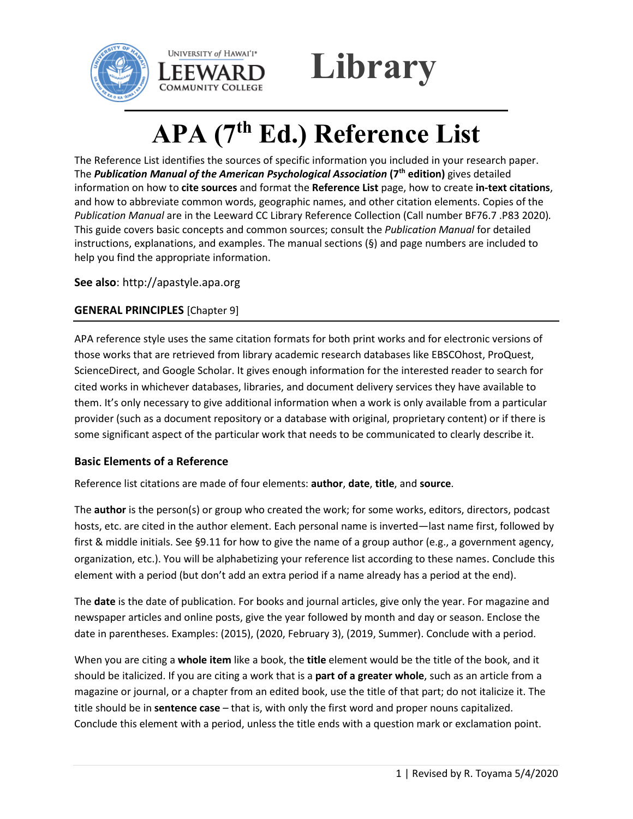



# **APA (7th Ed.) Reference List**

The Reference List identifies the sources of specific information you included in your research paper. The *Publication Manual of the American Psychological Association* **(7th edition)** gives detailed information on how to **cite sources** and format the **Reference List** page, how to create **in-text citations**, and how to abbreviate common words, geographic names, and other citation elements. Copies of the *Publication Manual* are in the Leeward CC Library Reference Collection (Call number BF76.7 .P83 2020)*.* This guide covers basic concepts and common sources; consult the *Publication Manual* for detailed instructions, explanations, and examples. The manual sections (§) and page numbers are included to help you find the appropriate information.

**See also**: http://apastyle.apa.org

# **GENERAL PRINCIPLES** [Chapter 9]

APA reference style uses the same citation formats for both print works and for electronic versions of those works that are retrieved from library academic research databases like EBSCOhost, ProQuest, ScienceDirect, and Google Scholar. It gives enough information for the interested reader to search for cited works in whichever databases, libraries, and document delivery services they have available to them. It's only necessary to give additional information when a work is only available from a particular provider (such as a document repository or a database with original, proprietary content) or if there is some significant aspect of the particular work that needs to be communicated to clearly describe it.

## **Basic Elements of a Reference**

Reference list citations are made of four elements: **author**, **date**, **title**, and **source**.

The **author** is the person(s) or group who created the work; for some works, editors, directors, podcast hosts, etc. are cited in the author element. Each personal name is inverted—last name first, followed by first & middle initials. See §9.11 for how to give the name of a group author (e.g., a government agency, organization, etc.). You will be alphabetizing your reference list according to these names. Conclude this element with a period (but don't add an extra period if a name already has a period at the end).

The **date** is the date of publication. For books and journal articles, give only the year. For magazine and newspaper articles and online posts, give the year followed by month and day or season. Enclose the date in parentheses. Examples: (2015), (2020, February 3), (2019, Summer). Conclude with a period.

When you are citing a **whole item** like a book, the **title** element would be the title of the book, and it should be italicized. If you are citing a work that is a **part of a greater whole**, such as an article from a magazine or journal, or a chapter from an edited book, use the title of that part; do not italicize it. The title should be in **sentence case** – that is, with only the first word and proper nouns capitalized. Conclude this element with a period, unless the title ends with a question mark or exclamation point.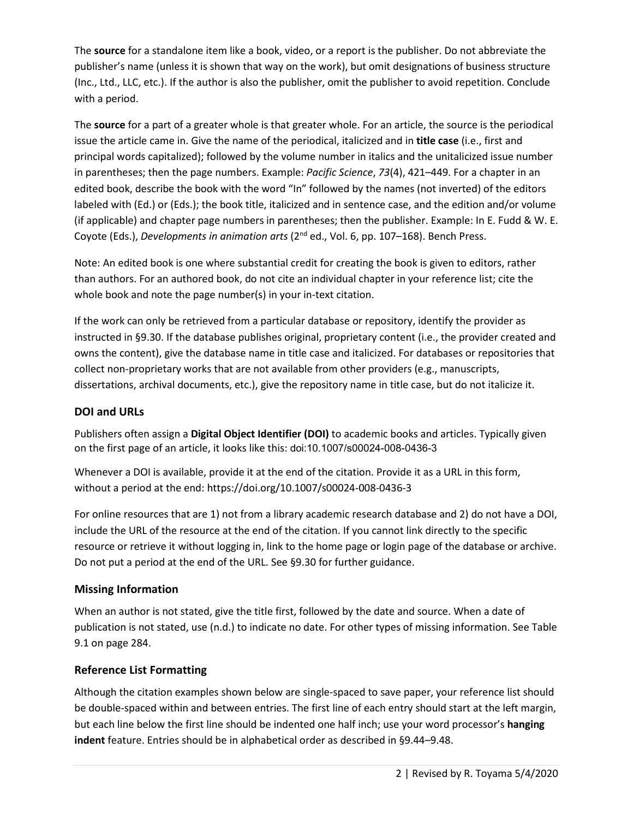The **source** for a standalone item like a book, video, or a report is the publisher. Do not abbreviate the publisher's name (unless it is shown that way on the work), but omit designations of business structure (Inc., Ltd., LLC, etc.). If the author is also the publisher, omit the publisher to avoid repetition. Conclude with a period.

The **source** for a part of a greater whole is that greater whole. For an article, the source is the periodical issue the article came in. Give the name of the periodical, italicized and in **title case** (i.e., first and principal words capitalized); followed by the volume number in italics and the unitalicized issue number in parentheses; then the page numbers. Example: *Pacific Science*, *73*(4), 421–449. For a chapter in an edited book, describe the book with the word "In" followed by the names (not inverted) of the editors labeled with (Ed.) or (Eds.); the book title, italicized and in sentence case, and the edition and/or volume (if applicable) and chapter page numbers in parentheses; then the publisher. Example: In E. Fudd & W. E. Coyote (Eds.), *Developments in animation arts* (2nd ed., Vol. 6, pp. 107–168). Bench Press.

Note: An edited book is one where substantial credit for creating the book is given to editors, rather than authors. For an authored book, do not cite an individual chapter in your reference list; cite the whole book and note the page number(s) in your in-text citation.

If the work can only be retrieved from a particular database or repository, identify the provider as instructed in §9.30. If the database publishes original, proprietary content (i.e., the provider created and owns the content), give the database name in title case and italicized. For databases or repositories that collect non-proprietary works that are not available from other providers (e.g., manuscripts, dissertations, archival documents, etc.), give the repository name in title case, but do not italicize it.

# **DOI and URLs**

Publishers often assign a **Digital Object Identifier (DOI)** to academic books and articles. Typically given on the first page of an article, it looks like this: doi:10.1007/s00024-008-0436-3

Whenever a DOI is available, provide it at the end of the citation. Provide it as a URL in this form, without a period at the end: https://doi.org/10.1007/s00024-008-0436-3

For online resources that are 1) not from a library academic research database and 2) do not have a DOI, include the URL of the resource at the end of the citation. If you cannot link directly to the specific resource or retrieve it without logging in, link to the home page or login page of the database or archive. Do not put a period at the end of the URL. See §9.30 for further guidance.

# **Missing Information**

When an author is not stated, give the title first, followed by the date and source. When a date of publication is not stated, use (n.d.) to indicate no date. For other types of missing information. See Table 9.1 on page 284.

# **Reference List Formatting**

Although the citation examples shown below are single-spaced to save paper, your reference list should be double-spaced within and between entries. The first line of each entry should start at the left margin, but each line below the first line should be indented one half inch; use your word processor's **hanging indent** feature. Entries should be in alphabetical order as described in §9.44–9.48.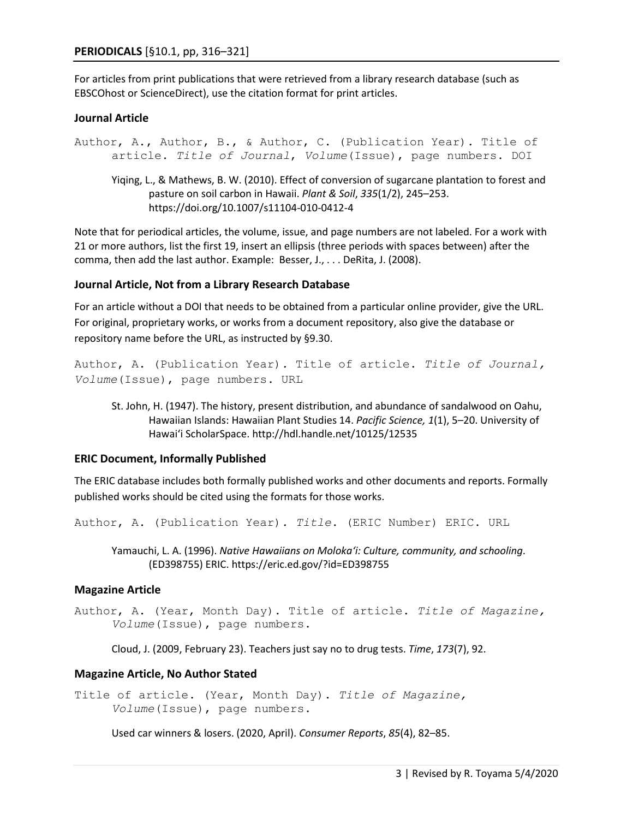For articles from print publications that were retrieved from a library research database (such as EBSCOhost or ScienceDirect), use the citation format for print articles.

## **Journal Article**

Author, A., Author, B., & Author, C. (Publication Year)*.* Title of article. *Title of Journal*, *Volume*(Issue), page numbers. DOI Yiqing, L., & Mathews, B. W. (2010). Effect of conversion of sugarcane plantation to forest and pasture on soil carbon in Hawaii. *Plant & Soil*, *335*(1/2), 245–253. https://doi.org/10.1007/s11104-010-0412-4

Note that for periodical articles, the volume, issue, and page numbers are not labeled. For a work with 21 or more authors, list the first 19, insert an ellipsis (three periods with spaces between) after the comma, then add the last author. Example: Besser, J., . . . DeRita, J. (2008).

## **Journal Article, Not from a Library Research Database**

For an article without a DOI that needs to be obtained from a particular online provider, give the URL. For original, proprietary works, or works from a document repository, also give the database or repository name before the URL, as instructed by §9.30.

```
Author, A. (Publication Year). Title of article. Title of Journal, 
Volume(Issue), page numbers. URL
```
St. John, H. (1947). The history, present distribution, and abundance of sandalwood on Oahu, Hawaiian Islands: Hawaiian Plant Studies 14. *Pacific Science, 1*(1), 5–20. University of Hawai'i ScholarSpace. http://hdl.handle.net/10125/12535

## **ERIC Document, Informally Published**

The ERIC database includes both formally published works and other documents and reports. Formally published works should be cited using the formats for those works.

Author, A. (Publication Year)*. Title*. (ERIC Number) ERIC. URL

Yamauchi, L. A. (1996). *Native Hawaiians on Moloka'i: Culture, community, and schooling*. (ED398755) ERIC. https://eric.ed.gov/?id=ED398755

## **Magazine Article**

Author, A. (Year, Month Day). Title of article. *Title of Magazine, Volume*(Issue), page numbers.

Cloud, J. (2009, February 23). Teachers just say no to drug tests. *Time*, *173*(7), 92.

## **Magazine Article, No Author Stated**

Title of article. (Year, Month Day). *Title of Magazine, Volume*(Issue), page numbers.

Used car winners & losers. (2020, April). *Consumer Reports*, *85*(4), 82–85.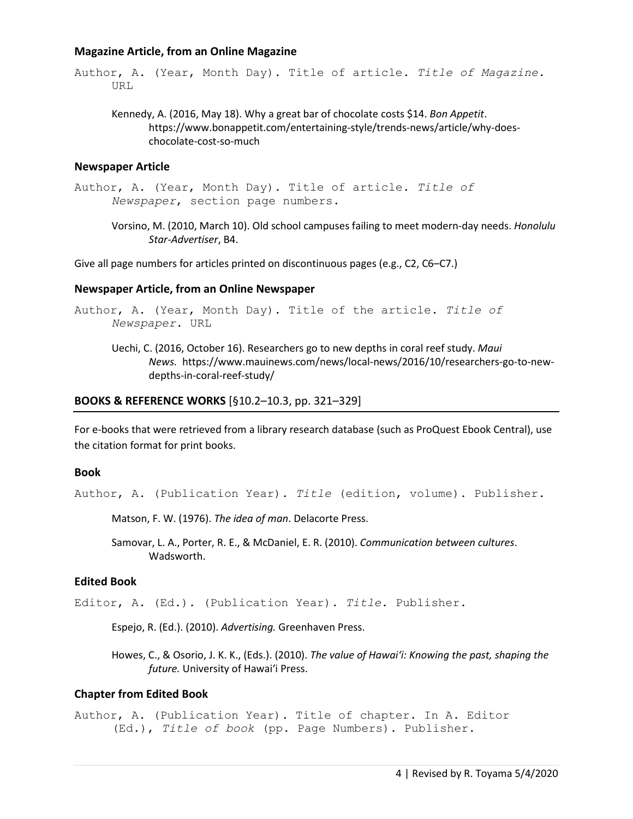## **Magazine Article, from an Online Magazine**

Author, A. (Year, Month Day). Title of article. *Title of Magazine*. URL

Kennedy, A. (2016, May 18). Why a great bar of chocolate costs \$14. *Bon Appetit*. https://www.bonappetit.com/entertaining-style/trends-news/article/why-doeschocolate-cost-so-much

#### **Newspaper Article**

Author, A. (Year, Month Day). Title of article. *Title of Newspaper*, section page numbers.

Vorsino, M. (2010, March 10). Old school campuses failing to meet modern-day needs. *Honolulu Star-Advertiser*, B4.

Give all page numbers for articles printed on discontinuous pages (e.g., C2, C6–C7.)

#### **Newspaper Article, from an Online Newspaper**

```
Author, A. (Year, Month Day). Title of the article. Title of 
     Newspaper. URL
```
Uechi, C. (2016, October 16). Researchers go to new depths in coral reef study. *Maui News.* https://www.mauinews.com/news/local-news/2016/10/researchers-go-to-newdepths-in-coral-reef-study/

#### **BOOKS & REFERENCE WORKS** [§10.2–10.3, pp. 321–329]

For e-books that were retrieved from a library research database (such as ProQuest Ebook Central), use the citation format for print books.

#### **Book**

Author, A. (Publication Year)*. Title* (edition, volume). Publisher.

Matson, F. W. (1976). *The idea of man*. Delacorte Press.

Samovar, L. A., Porter, R. E., & McDaniel, E. R. (2010). *Communication between cultures*. Wadsworth.

## **Edited Book**

Editor, A. (Ed.). (Publication Year). *Title*. Publisher.

Espejo, R. (Ed.). (2010). *Advertising.* Greenhaven Press.

Howes, C., & Osorio, J. K. K., (Eds.). (2010). *The value of Hawai'i: Knowing the past, shaping the future.* University of Hawai'i Press.

## **Chapter from Edited Book**

Author, A. (Publication Year)*.* Title of chapter. In A. Editor (Ed.), *Title of book* (pp. Page Numbers). Publisher.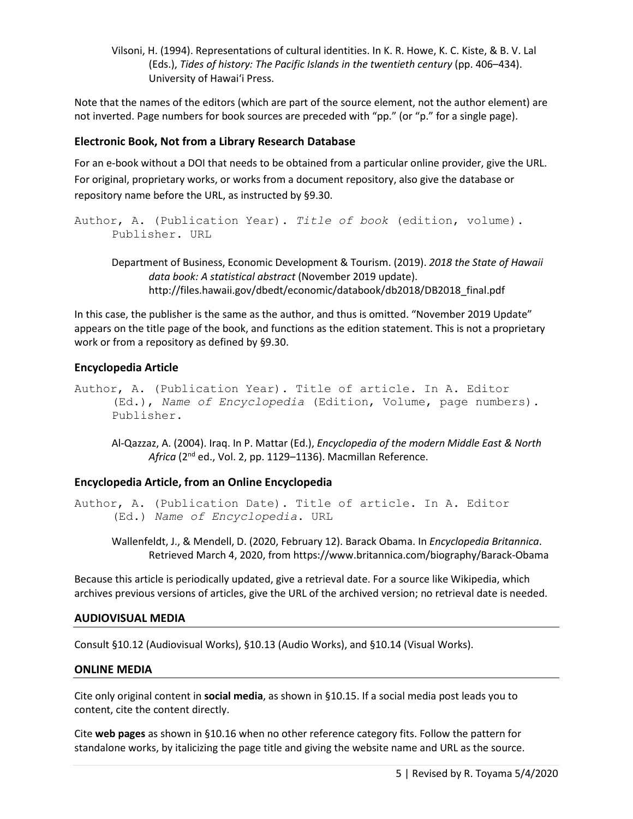Vilsoni, H. (1994). Representations of cultural identities. In K. R. Howe, K. C. Kiste, & B. V. Lal (Eds.), *Tides of history: The Pacific Islands in the twentieth century* (pp. 406–434). University of Hawai'i Press.

Note that the names of the editors (which are part of the source element, not the author element) are not inverted. Page numbers for book sources are preceded with "pp." (or "p." for a single page).

# **Electronic Book, Not from a Library Research Database**

For an e-book without a DOI that needs to be obtained from a particular online provider, give the URL. For original, proprietary works, or works from a document repository, also give the database or repository name before the URL, as instructed by §9.30.

```
Author, A. (Publication Year). Title of book (edition, volume).
     Publisher. URL
```
Department of Business, Economic Development & Tourism. (2019). *2018 the State of Hawaii data book: A statistical abstract* (November 2019 update). http://files.hawaii.gov/dbedt/economic/databook/db2018/DB2018\_final.pdf

In this case, the publisher is the same as the author, and thus is omitted. "November 2019 Update" appears on the title page of the book, and functions as the edition statement. This is not a proprietary work or from a repository as defined by §9.30.

# **Encyclopedia Article**

Author, A. (Publication Year). Title of article. In A. Editor (Ed.), *Name of Encyclopedia* (Edition, Volume, page numbers). Publisher.

Al-Qazzaz, A. (2004). Iraq. In P. Mattar (Ed.), *Encyclopedia of the modern Middle East & North Africa* (2nd ed., Vol. 2, pp. 1129–1136). Macmillan Reference.

## **Encyclopedia Article, from an Online Encyclopedia**

Author, A. (Publication Date). Title of article. In A. Editor (Ed.) *Name of Encyclopedia*. URL

Wallenfeldt, J., & Mendell, D. (2020, February 12). Barack Obama. In *Encyclopedia Britannica*. Retrieved March 4, 2020, from https://www.britannica.com/biography/Barack-Obama

Because this article is periodically updated, give a retrieval date. For a source like Wikipedia, which archives previous versions of articles, give the URL of the archived version; no retrieval date is needed.

## **AUDIOVISUAL MEDIA**

Consult §10.12 (Audiovisual Works), §10.13 (Audio Works), and §10.14 (Visual Works).

## **ONLINE MEDIA**

Cite only original content in **social media**, as shown in §10.15. If a social media post leads you to content, cite the content directly.

Cite **web pages** as shown in §10.16 when no other reference category fits. Follow the pattern for standalone works, by italicizing the page title and giving the website name and URL as the source.